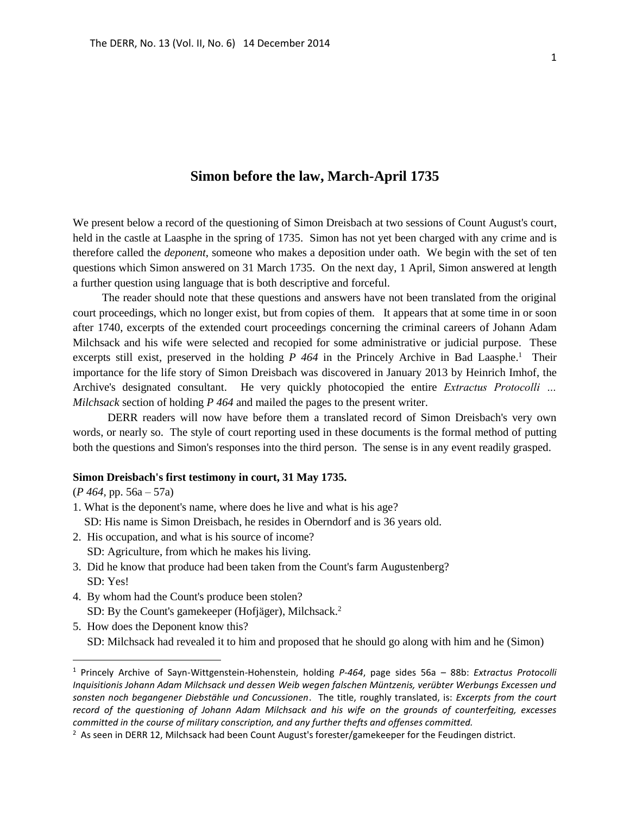# **Simon before the law, March-April 1735**

We present below a record of the questioning of Simon Dreisbach at two sessions of Count August's court, held in the castle at Laasphe in the spring of 1735. Simon has not yet been charged with any crime and is therefore called the *deponent*, someone who makes a deposition under oath. We begin with the set of ten questions which Simon answered on 31 March 1735. On the next day, 1 April, Simon answered at length a further question using language that is both descriptive and forceful.

The reader should note that these questions and answers have not been translated from the original court proceedings, which no longer exist, but from copies of them. It appears that at some time in or soon after 1740, excerpts of the extended court proceedings concerning the criminal careers of Johann Adam Milchsack and his wife were selected and recopied for some administrative or judicial purpose. These excerpts still exist, preserved in the holding *P 464* in the Princely Archive in Bad Laasphe.<sup>1</sup> Their importance for the life story of Simon Dreisbach was discovered in January 2013 by Heinrich Imhof, the Archive's designated consultant. He very quickly photocopied the entire *Extractus Protocolli … Milchsack* section of holding *P 464* and mailed the pages to the present writer.

 DERR readers will now have before them a translated record of Simon Dreisbach's very own words, or nearly so. The style of court reporting used in these documents is the formal method of putting both the questions and Simon's responses into the third person. The sense is in any event readily grasped.

#### **Simon Dreisbach's first testimony in court, 31 May 1735.**

(*P 464,* pp. 56a – 57a)

 $\overline{a}$ 

- 1. What is the deponent's name, where does he live and what is his age? SD: His name is Simon Dreisbach, he resides in Oberndorf and is 36 years old.
- 2. His occupation, and what is his source of income?
	- SD: Agriculture, from which he makes his living.
- 3. Did he know that produce had been taken from the Count's farm Augustenberg? SD: Yes!
- 4. By whom had the Count's produce been stolen? SD: By the Count's gamekeeper (Hofjäger), Milchsack.<sup>2</sup>
- 5. How does the Deponent know this? SD: Milchsack had revealed it to him and proposed that he should go along with him and he (Simon)

<sup>1</sup> Princely Archive of Sayn-Wittgenstein-Hohenstein, holding *P-464*, page sides 56a – 88b: *Extractus Protocolli Inquisitionis Johann Adam Milchsack und dessen Weib wegen falschen Müntzenis, verübter Werbungs Excessen und sonsten noch begangener Diebstähle und Concussionen*. The title, roughly translated, is: *Excerpts from the court record of the questioning of Johann Adam Milchsack and his wife on the grounds of counterfeiting, excesses committed in the course of military conscription, and any further thefts and offenses committed.*

<sup>&</sup>lt;sup>2</sup> As seen in DERR 12, Milchsack had been Count August's forester/gamekeeper for the Feudingen district.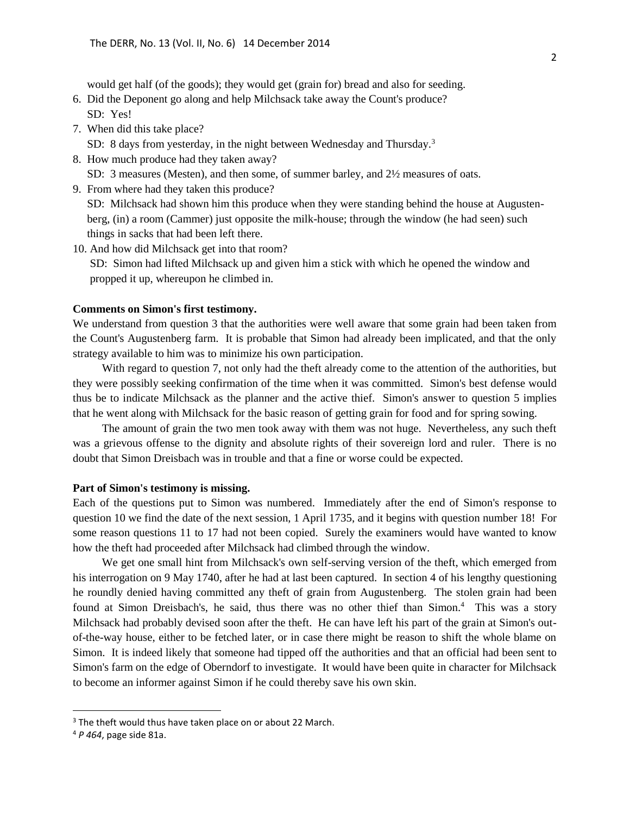would get half (of the goods); they would get (grain for) bread and also for seeding.

- 6. Did the Deponent go along and help Milchsack take away the Count's produce? SD: Yes!
- 7. When did this take place?

SD: 8 days from yesterday, in the night between Wednesday and Thursday.<sup>3</sup>

8. How much produce had they taken away?

SD: 3 measures (Mesten), and then some, of summer barley, and 2½ measures of oats.

9. From where had they taken this produce?

 SD: Milchsack had shown him this produce when they were standing behind the house at Augusten berg, (in) a room (Cammer) just opposite the milk-house; through the window (he had seen) such things in sacks that had been left there.

10. And how did Milchsack get into that room?

 SD: Simon had lifted Milchsack up and given him a stick with which he opened the window and propped it up, whereupon he climbed in.

### **Comments on Simon's first testimony.**

We understand from question 3 that the authorities were well aware that some grain had been taken from the Count's Augustenberg farm. It is probable that Simon had already been implicated, and that the only strategy available to him was to minimize his own participation.

With regard to question 7, not only had the theft already come to the attention of the authorities, but they were possibly seeking confirmation of the time when it was committed. Simon's best defense would thus be to indicate Milchsack as the planner and the active thief. Simon's answer to question 5 implies that he went along with Milchsack for the basic reason of getting grain for food and for spring sowing.

The amount of grain the two men took away with them was not huge. Nevertheless, any such theft was a grievous offense to the dignity and absolute rights of their sovereign lord and ruler. There is no doubt that Simon Dreisbach was in trouble and that a fine or worse could be expected.

## **Part of Simon's testimony is missing.**

Each of the questions put to Simon was numbered. Immediately after the end of Simon's response to question 10 we find the date of the next session, 1 April 1735, and it begins with question number 18! For some reason questions 11 to 17 had not been copied. Surely the examiners would have wanted to know how the theft had proceeded after Milchsack had climbed through the window.

We get one small hint from Milchsack's own self-serving version of the theft, which emerged from his interrogation on 9 May 1740, after he had at last been captured. In section 4 of his lengthy questioning he roundly denied having committed any theft of grain from Augustenberg. The stolen grain had been found at Simon Dreisbach's, he said, thus there was no other thief than Simon.<sup>4</sup> This was a story Milchsack had probably devised soon after the theft. He can have left his part of the grain at Simon's outof-the-way house, either to be fetched later, or in case there might be reason to shift the whole blame on Simon. It is indeed likely that someone had tipped off the authorities and that an official had been sent to Simon's farm on the edge of Oberndorf to investigate. It would have been quite in character for Milchsack to become an informer against Simon if he could thereby save his own skin.

 $\overline{a}$ 

<sup>&</sup>lt;sup>3</sup> The theft would thus have taken place on or about 22 March.

<sup>4</sup> *P 464*, page side 81a.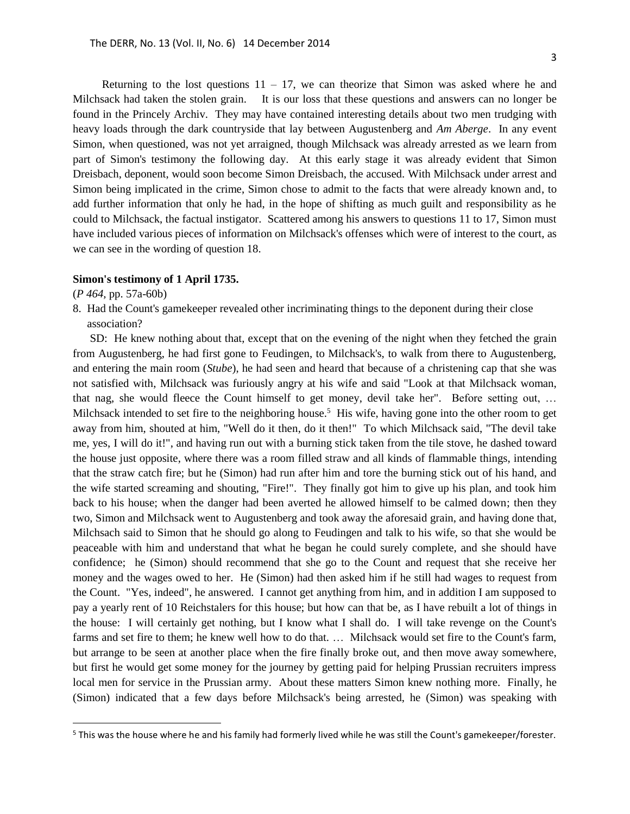Returning to the lost questions  $11 - 17$ , we can theorize that Simon was asked where he and Milchsack had taken the stolen grain. It is our loss that these questions and answers can no longer be found in the Princely Archiv. They may have contained interesting details about two men trudging with heavy loads through the dark countryside that lay between Augustenberg and *Am Aberge*. In any event Simon, when questioned, was not yet arraigned, though Milchsack was already arrested as we learn from part of Simon's testimony the following day. At this early stage it was already evident that Simon Dreisbach, deponent, would soon become Simon Dreisbach, the accused. With Milchsack under arrest and Simon being implicated in the crime, Simon chose to admit to the facts that were already known and, to add further information that only he had, in the hope of shifting as much guilt and responsibility as he could to Milchsack, the factual instigator. Scattered among his answers to questions 11 to 17, Simon must have included various pieces of information on Milchsack's offenses which were of interest to the court, as we can see in the wording of question 18.

#### **Simon's testimony of 1 April 1735.**

(*P 464,* pp. 57a-60b)

 $\overline{a}$ 

8. Had the Count's gamekeeper revealed other incriminating things to the deponent during their close association?

 SD: He knew nothing about that, except that on the evening of the night when they fetched the grain from Augustenberg, he had first gone to Feudingen, to Milchsack's, to walk from there to Augustenberg, and entering the main room (*Stube*), he had seen and heard that because of a christening cap that she was not satisfied with, Milchsack was furiously angry at his wife and said "Look at that Milchsack woman, that nag, she would fleece the Count himself to get money, devil take her". Before setting out, … Milchsack intended to set fire to the neighboring house.<sup>5</sup> His wife, having gone into the other room to get away from him, shouted at him, "Well do it then, do it then!" To which Milchsack said, "The devil take me, yes, I will do it!", and having run out with a burning stick taken from the tile stove, he dashed toward the house just opposite, where there was a room filled straw and all kinds of flammable things, intending that the straw catch fire; but he (Simon) had run after him and tore the burning stick out of his hand, and the wife started screaming and shouting, "Fire!". They finally got him to give up his plan, and took him back to his house; when the danger had been averted he allowed himself to be calmed down; then they two, Simon and Milchsack went to Augustenberg and took away the aforesaid grain, and having done that, Milchsach said to Simon that he should go along to Feudingen and talk to his wife, so that she would be peaceable with him and understand that what he began he could surely complete, and she should have confidence; he (Simon) should recommend that she go to the Count and request that she receive her money and the wages owed to her. He (Simon) had then asked him if he still had wages to request from the Count. "Yes, indeed", he answered. I cannot get anything from him, and in addition I am supposed to pay a yearly rent of 10 Reichstalers for this house; but how can that be, as I have rebuilt a lot of things in the house: I will certainly get nothing, but I know what I shall do. I will take revenge on the Count's farms and set fire to them; he knew well how to do that. … Milchsack would set fire to the Count's farm, but arrange to be seen at another place when the fire finally broke out, and then move away somewhere, but first he would get some money for the journey by getting paid for helping Prussian recruiters impress local men for service in the Prussian army. About these matters Simon knew nothing more. Finally, he (Simon) indicated that a few days before Milchsack's being arrested, he (Simon) was speaking with

<sup>&</sup>lt;sup>5</sup> This was the house where he and his family had formerly lived while he was still the Count's gamekeeper/forester.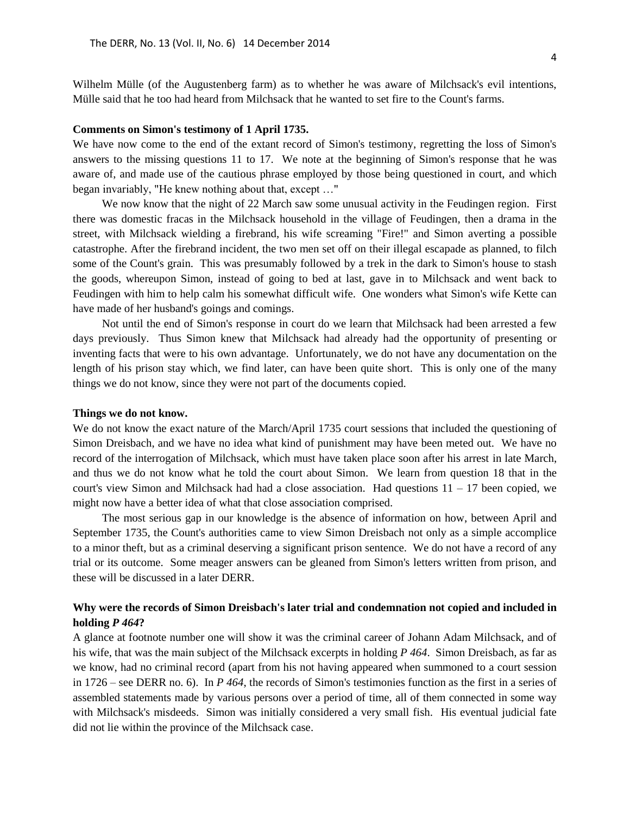Wilhelm Mülle (of the Augustenberg farm) as to whether he was aware of Milchsack's evil intentions, Mülle said that he too had heard from Milchsack that he wanted to set fire to the Count's farms.

## **Comments on Simon's testimony of 1 April 1735.**

We have now come to the end of the extant record of Simon's testimony, regretting the loss of Simon's answers to the missing questions 11 to 17. We note at the beginning of Simon's response that he was aware of, and made use of the cautious phrase employed by those being questioned in court, and which began invariably, "He knew nothing about that, except …"

We now know that the night of 22 March saw some unusual activity in the Feudingen region. First there was domestic fracas in the Milchsack household in the village of Feudingen, then a drama in the street, with Milchsack wielding a firebrand, his wife screaming "Fire!" and Simon averting a possible catastrophe. After the firebrand incident, the two men set off on their illegal escapade as planned, to filch some of the Count's grain. This was presumably followed by a trek in the dark to Simon's house to stash the goods, whereupon Simon, instead of going to bed at last, gave in to Milchsack and went back to Feudingen with him to help calm his somewhat difficult wife. One wonders what Simon's wife Kette can have made of her husband's goings and comings.

Not until the end of Simon's response in court do we learn that Milchsack had been arrested a few days previously. Thus Simon knew that Milchsack had already had the opportunity of presenting or inventing facts that were to his own advantage. Unfortunately, we do not have any documentation on the length of his prison stay which, we find later, can have been quite short. This is only one of the many things we do not know, since they were not part of the documents copied.

### **Things we do not know.**

We do not know the exact nature of the March/April 1735 court sessions that included the questioning of Simon Dreisbach, and we have no idea what kind of punishment may have been meted out. We have no record of the interrogation of Milchsack, which must have taken place soon after his arrest in late March, and thus we do not know what he told the court about Simon. We learn from question 18 that in the court's view Simon and Milchsack had had a close association. Had questions  $11 - 17$  been copied, we might now have a better idea of what that close association comprised.

The most serious gap in our knowledge is the absence of information on how, between April and September 1735, the Count's authorities came to view Simon Dreisbach not only as a simple accomplice to a minor theft, but as a criminal deserving a significant prison sentence. We do not have a record of any trial or its outcome. Some meager answers can be gleaned from Simon's letters written from prison, and these will be discussed in a later DERR.

# **Why were the records of Simon Dreisbach's later trial and condemnation not copied and included in holding** *P 464***?**

A glance at footnote number one will show it was the criminal career of Johann Adam Milchsack, and of his wife, that was the main subject of the Milchsack excerpts in holding *P 464*. Simon Dreisbach, as far as we know, had no criminal record (apart from his not having appeared when summoned to a court session in 1726 – see DERR no. 6). In *P 464*, the records of Simon's testimonies function as the first in a series of assembled statements made by various persons over a period of time, all of them connected in some way with Milchsack's misdeeds. Simon was initially considered a very small fish. His eventual judicial fate did not lie within the province of the Milchsack case.